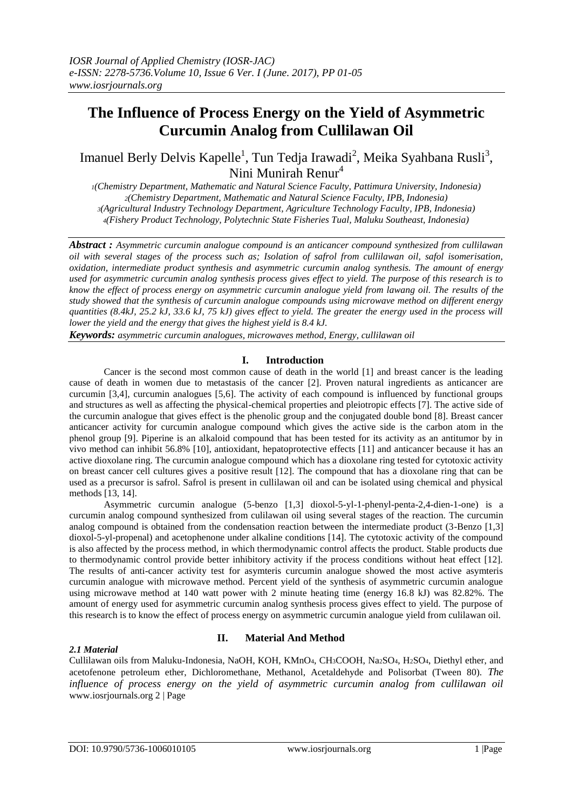# **The Influence of Process Energy on the Yield of Asymmetric Curcumin Analog from Cullilawan Oil**

Imanuel Berly Delvis Kapelle<sup>1</sup>, Tun Tedja Irawadi<sup>2</sup>, Meika Syahbana Rusli<sup>3</sup>, Nini Munirah Renur<sup>4</sup>

*(Chemistry Department, Mathematic and Natural Science Faculty, Pattimura University, Indonesia) (Chemistry Department, Mathematic and Natural Science Faculty, IPB, Indonesia) (Agricultural Industry Technology Department, Agriculture Technology Faculty, IPB, Indonesia) (Fishery Product Technology, Polytechnic State Fisheries Tual, Maluku Southeast, Indonesia)*

*Abstract : Asymmetric curcumin analogue compound is an anticancer compound synthesized from cullilawan oil with several stages of the process such as; Isolation of safrol from cullilawan oil, safol isomerisation, oxidation, intermediate product synthesis and asymmetric curcumin analog synthesis. The amount of energy used for asymmetric curcumin analog synthesis process gives effect to yield. The purpose of this research is to know the effect of process energy on asymmetric curcumin analogue yield from lawang oil. The results of the study showed that the synthesis of curcumin analogue compounds using microwave method on different energy quantities (8.4kJ, 25.2 kJ, 33.6 kJ, 75 kJ) gives effect to yield. The greater the energy used in the process will lower the yield and the energy that gives the highest yield is 8.4 kJ.* 

*Keywords: asymmetric curcumin analogues, microwaves method, Energy, cullilawan oil* 

## **I. Introduction**

Cancer is the second most common cause of death in the world [1] and breast cancer is the leading cause of death in women due to metastasis of the cancer [2]. Proven natural ingredients as anticancer are curcumin [3,4], curcumin analogues [5,6]. The activity of each compound is influenced by functional groups and structures as well as affecting the physical-chemical properties and pleiotropic effects [7]. The active side of the curcumin analogue that gives effect is the phenolic group and the conjugated double bond [8]. Breast cancer anticancer activity for curcumin analogue compound which gives the active side is the carbon atom in the phenol group [9]. Piperine is an alkaloid compound that has been tested for its activity as an antitumor by in vivo method can inhibit 56.8% [10], antioxidant, hepatoprotective effects [11] and anticancer because it has an active dioxolane ring. The curcumin analogue compound which has a dioxolane ring tested for cytotoxic activity on breast cancer cell cultures gives a positive result [12]. The compound that has a dioxolane ring that can be used as a precursor is safrol. Safrol is present in cullilawan oil and can be isolated using chemical and physical methods [13, 14].

Asymmetric curcumin analogue (5-benzo [1,3] dioxol-5-yl-1-phenyl-penta-2,4-dien-1-one) is a curcumin analog compound synthesized from culilawan oil using several stages of the reaction. The curcumin analog compound is obtained from the condensation reaction between the intermediate product (3-Benzo [1,3] dioxol-5-yl-propenal) and acetophenone under alkaline conditions [14]. The cytotoxic activity of the compound is also affected by the process method, in which thermodynamic control affects the product. Stable products due to thermodynamic control provide better inhibitory activity if the process conditions without heat effect [12]. The results of anti-cancer activity test for asymteris curcumin analogue showed the most active asymteris curcumin analogue with microwave method. Percent yield of the synthesis of asymmetric curcumin analogue using microwave method at 140 watt power with 2 minute heating time (energy 16.8 kJ) was 82.82%. The amount of energy used for asymmetric curcumin analog synthesis process gives effect to yield. The purpose of this research is to know the effect of process energy on asymmetric curcumin analogue yield from culilawan oil.

## *2.1 Material*

## **II. Material And Method**

Cullilawan oils from Maluku-Indonesia, NaOH, KOH, KMnO4, CH3COOH, Na2SO4, H2SO4, Diethyl ether, and acetofenone petroleum ether, Dichloromethane, Methanol, Acetaldehyde and Polisorbat (Tween 80). *The influence of process energy on the yield of asymmetric curcumin analog from cullilawan oil* www.iosrjournals.org 2 | Page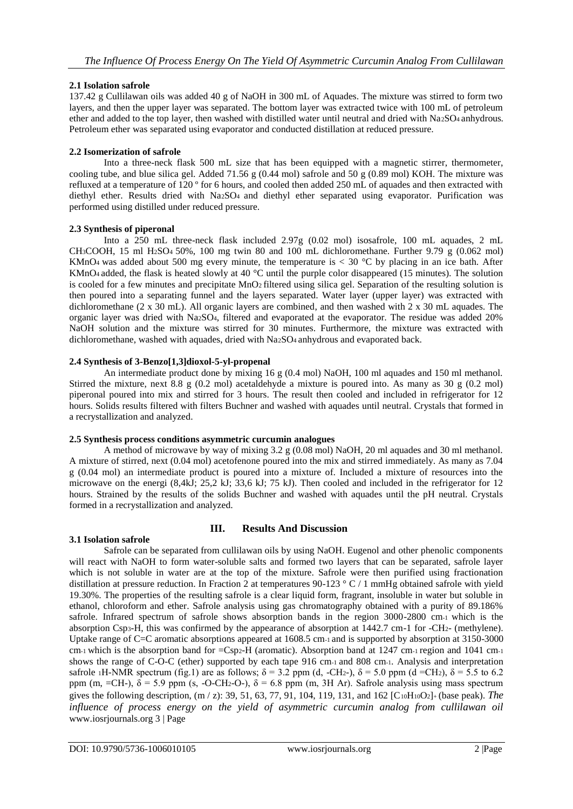# **2.1 Isolation safrole**

137.42 g Cullilawan oils was added 40 g of NaOH in 300 mL of Aquades. The mixture was stirred to form two layers, and then the upper layer was separated. The bottom layer was extracted twice with 100 mL of petroleum ether and added to the top layer, then washed with distilled water until neutral and dried with Na2SO4 anhydrous. Petroleum ether was separated using evaporator and conducted distillation at reduced pressure.

## **2.2 Isomerization of safrole**

Into a three-neck flask 500 mL size that has been equipped with a magnetic stirrer, thermometer, cooling tube, and blue silica gel. Added 71.56 g (0.44 mol) safrole and 50 g (0.89 mol) KOH. The mixture was refluxed at a temperature of 120 º for 6 hours, and cooled then added 250 mL of aquades and then extracted with diethyl ether. Results dried with Na2SO<sub>4</sub> and diethyl ether separated using evaporator. Purification was performed using distilled under reduced pressure.

#### **2.3 Synthesis of piperonal**

Into a 250 mL three-neck flask included 2.97g (0.02 mol) isosafrole, 100 mL aquades, 2 mL CH<sub>3</sub>COOH, 15 ml H<sub>2</sub>SO<sub>4</sub> 50%, 100 mg twin 80 and 100 mL dichloromethane. Further 9.79 g (0.062 mol) KMnO<sub>4</sub> was added about 500 mg every minute, the temperature is  $< 30$  °C by placing in an ice bath. After KMnO4 added, the flask is heated slowly at 40 °C until the purple color disappeared (15 minutes). The solution is cooled for a few minutes and precipitate MnO2 filtered using silica gel. Separation of the resulting solution is then poured into a separating funnel and the layers separated. Water layer (upper layer) was extracted with dichloromethane (2 x 30 mL). All organic layers are combined, and then washed with 2 x 30 mL aquades. The organic layer was dried with Na2SO4, filtered and evaporated at the evaporator. The residue was added 20% NaOH solution and the mixture was stirred for 30 minutes. Furthermore, the mixture was extracted with dichloromethane, washed with aquades, dried with Na2SO<sub>4</sub> anhydrous and evaporated back.

#### **2.4 Synthesis of 3-Benzo[1,3]dioxol-5-yl-propenal**

An intermediate product done by mixing 16 g (0.4 mol) NaOH, 100 ml aquades and 150 ml methanol. Stirred the mixture, next 8.8 g (0.2 mol) acetaldehyde a mixture is poured into. As many as 30 g (0.2 mol) piperonal poured into mix and stirred for 3 hours. The result then cooled and included in refrigerator for 12 hours. Solids results filtered with filters Buchner and washed with aquades until neutral. Crystals that formed in a recrystallization and analyzed.

#### **2.5 Synthesis process conditions asymmetric curcumin analogues**

A method of microwave by way of mixing 3.2 g (0.08 mol) NaOH, 20 ml aquades and 30 ml methanol. A mixture of stirred, next (0.04 mol) acetofenone poured into the mix and stirred immediately. As many as 7.04 g (0.04 mol) an intermediate product is poured into a mixture of. Included a mixture of resources into the microwave on the energi (8,4kJ; 25,2 kJ; 33,6 kJ; 75 kJ). Then cooled and included in the refrigerator for 12 hours. Strained by the results of the solids Buchner and washed with aquades until the pH neutral. Crystals formed in a recrystallization and analyzed.

## **3.1 Isolation safrole**

## **III. Results And Discussion**

Safrole can be separated from cullilawan oils by using NaOH. Eugenol and other phenolic components will react with NaOH to form water-soluble salts and formed two layers that can be separated, safrole layer which is not soluble in water are at the top of the mixture. Safrole were then purified using fractionation distillation at pressure reduction. In Fraction 2 at temperatures 90-123 ° C / 1 mmHg obtained safrole with yield 19.30%. The properties of the resulting safrole is a clear liquid form, fragrant, insoluble in water but soluble in ethanol, chloroform and ether. Safrole analysis using gas chromatography obtained with a purity of 89.186% safrole. Infrared spectrum of safrole shows absorption bands in the region 3000-2800 cm-1 which is the absorption Csp3-H, this was confirmed by the appearance of absorption at 1442.7 cm-1 for -CH2- (methylene). Uptake range of C=C aromatic absorptions appeared at 1608.5 cm-1 and is supported by absorption at 3150-3000 cm-1 which is the absorption band for  $=Csp<sub>2</sub>-H$  (aromatic). Absorption band at 1247 cm-1 region and 1041 cm-1 shows the range of C-O-C (ether) supported by each tape 916 cm-1 and 808 cm-1. Analysis and interpretation safrole 1H-NMR spectrum (fig.1) are as follows;  $\delta = 3.2$  ppm (d, -CH2-),  $\delta = 5.0$  ppm (d =CH2),  $\delta = 5.5$  to 6.2 ppm (m, =CH-),  $\delta$  = 5.9 ppm (s, -O-CH2-O-),  $\delta$  = 6.8 ppm (m, 3H Ar). Safrole analysis using mass spectrum gives the following description, (m / z): 39, 51, 63, 77, 91, 104, 119, 131, and 162 [C10H10O2]+ (base peak). *The influence of process energy on the yield of asymmetric curcumin analog from cullilawan oil*  www.iosrjournals.org 3 | Page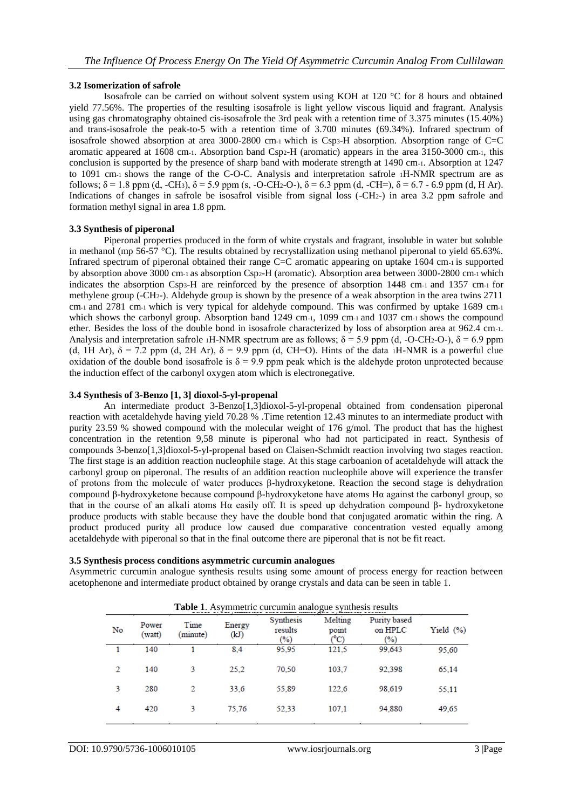#### **3.2 Isomerization of safrole**

Isosafrole can be carried on without solvent system using KOH at 120 °C for 8 hours and obtained yield 77.56%. The properties of the resulting isosafrole is light yellow viscous liquid and fragrant. Analysis using gas chromatography obtained cis-isosafrole the 3rd peak with a retention time of 3.375 minutes (15.40%) and trans-isosafrole the peak-to-5 with a retention time of 3.700 minutes (69.34%). Infrared spectrum of isosafrole showed absorption at area 3000-2800 cm-1 which is Csp<sub>3</sub>-H absorption. Absorption range of C=C aromatic appeared at 1608 cm-1. Absorption band Csp2-H (aromatic) appears in the area 3150-3000 cm-1, this conclusion is supported by the presence of sharp band with moderate strength at 1490 cm-1. Absorption at 1247 to 1091 cm-1 shows the range of the C-O-C. Analysis and interpretation safrole 1H-NMR spectrum are as follows;  $\delta = 1.8$  ppm (d, -CH<sub>3</sub>),  $\delta = 5.9$  ppm (s, -O-CH<sub>2</sub>-O-),  $\delta = 6.3$  ppm (d, -CH=),  $\delta = 6.7$  - 6.9 ppm (d, H Ar). Indications of changes in safrole be isosafrol visible from signal loss (-CH2-) in area 3.2 ppm safrole and formation methyl signal in area 1.8 ppm.

#### **3.3 Synthesis of piperonal**

Piperonal properties produced in the form of white crystals and fragrant, insoluble in water but soluble in methanol (mp 56-57 °C). The results obtained by recrystallization using methanol piperonal to yield 65.63%. Infrared spectrum of piperonal obtained their range C=C aromatic appearing on uptake 1604 cm-1 is supported by absorption above 3000 cm-1 as absorption Csp2-H (aromatic). Absorption area between 3000-2800 cm-1 which indicates the absorption Csp3-H are reinforced by the presence of absorption 1448 cm-1 and 1357 cm-1 for methylene group (-CH2-). Aldehyde group is shown by the presence of a weak absorption in the area twins 2711 cm-1 and 2781 cm-1 which is very typical for aldehyde compound. This was confirmed by uptake 1689 cm-1 which shows the carbonyl group. Absorption band 1249 cm-1, 1099 cm-1 and 1037 cm-1 shows the compound ether. Besides the loss of the double bond in isosafrole characterized by loss of absorption area at 962.4 cm-1. Analysis and interpretation safrole 1H-NMR spectrum are as follows;  $\delta = 5.9$  ppm (d, -O-CH2-O-),  $\delta = 6.9$  ppm (d, 1H Ar),  $\delta = 7.2$  ppm (d, 2H Ar),  $\delta = 9.9$  ppm (d, CH=O). Hints of the data 1H-NMR is a powerful clue oxidation of the double bond isosafrole is  $\delta = 9.9$  ppm peak which is the aldehyde proton unprotected because the induction effect of the carbonyl oxygen atom which is electronegative.

#### **3.4 Synthesis of 3-Benzo [1, 3] dioxol-5-yl-propenal**

An intermediate product 3-Benzo[1,3]dioxol-5-yl-propenal obtained from condensation piperonal reaction with acetaldehyde having yield 70.28 % .Time retention 12.43 minutes to an intermediate product with purity 23.59 % showed compound with the molecular weight of 176 g/mol. The product that has the highest concentration in the retention 9,58 minute is piperonal who had not participated in react. Synthesis of compounds 3-benzo[1,3]dioxol-5-yl-propenal based on Claisen-Schmidt reaction involving two stages reaction. The first stage is an addition reaction nucleophile stage. At this stage carboanion of acetaldehyde will attack the carbonyl group on piperonal. The results of an addition reaction nucleophile above will experience the transfer of protons from the molecule of water produces β-hydroxyketone. Reaction the second stage is dehydration compound β-hydroxyketone because compound β-hydroxyketone have atoms Hα against the carbonyl group, so that in the course of an alkali atoms Hα easily off. It is speed up dehydration compound β- hydroxyketone produce products with stable because they have the double bond that conjugated aromatic within the ring. A product produced purity all produce low caused due comparative concentration vested equally among acetaldehyde with piperonal so that in the final outcome there are piperonal that is not be fit react.

#### **3.5 Synthesis process conditions asymmetric curcumin analogues**

Asymmetric curcumin analogue synthesis results using some amount of process energy for reaction between acetophenone and intermediate product obtained by orange crystals and data can be seen in table 1.

| <b>Table 1.</b> Asymmetric curcumin analogue synthesis results |                 |                  |                |                             |                          |                                |              |
|----------------------------------------------------------------|-----------------|------------------|----------------|-----------------------------|--------------------------|--------------------------------|--------------|
| No                                                             | Power<br>(watt) | Time<br>(minute) | Energy<br>(kJ) | Synthesis<br>results<br>(%) | Melting<br>point<br>(°C) | Purity based<br>on HPLC<br>(%) | Yield $(\%)$ |
|                                                                | 140             |                  | 8,4            | 95,95                       | 121,5                    | 99,643                         | 95,60        |
| 2                                                              | 140             | 3                | 25.2           | 70.50                       | 103,7                    | 92,398                         | 65,14        |
| 3                                                              | 280             | 2                | 33,6           | 55,89                       | 122.6                    | 98,619                         | 55,11        |
| 4                                                              | 420             | 3                | 75,76          | 52.33                       | 107.1                    | 94.880                         | 49,65        |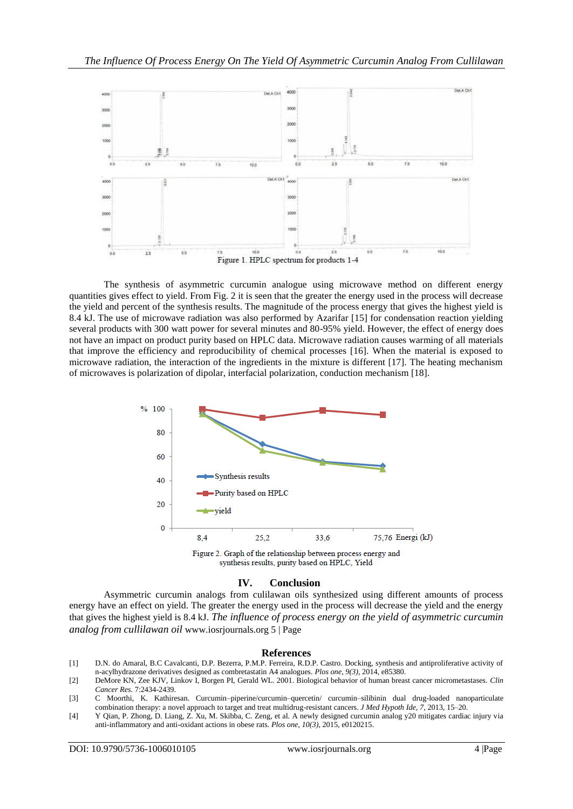

The synthesis of asymmetric curcumin analogue using microwave method on different energy quantities gives effect to yield. From Fig. 2 it is seen that the greater the energy used in the process will decrease the yield and percent of the synthesis results. The magnitude of the process energy that gives the highest yield is 8.4 kJ. The use of microwave radiation was also performed by Azarifar [15] for condensation reaction yielding several products with 300 watt power for several minutes and 80-95% yield. However, the effect of energy does not have an impact on product purity based on HPLC data. Microwave radiation causes warming of all materials that improve the efficiency and reproducibility of chemical processes [16]. When the material is exposed to microwave radiation, the interaction of the ingredients in the mixture is different [17]. The heating mechanism of microwaves is polarization of dipolar, interfacial polarization, conduction mechanism [18].



# **IV. Conclusion**

Asymmetric curcumin analogs from culilawan oils synthesized using different amounts of process energy have an effect on yield. The greater the energy used in the process will decrease the yield and the energy that gives the highest yield is 8.4 kJ. *The influence of process energy on the yield of asymmetric curcumin analog from cullilawan oil* www.iosrjournals.org 5 | Page

#### **References**

- [1] D.N. do Amaral, B.C Cavalcanti, D.P. Bezerra, P.M.P. Ferreira, R.D.P. Castro. Docking, synthesis and antiproliferative activity of n-acylhydrazone derivatives designed as combretastatin A4 analogues. *Plos one, 9(3),* 2014, e85380.
- [2] DeMore KN, Zee KJV, Linkov I, Borgen PI, Gerald WL. 2001. Biological behavior of human breast cancer micrometastases. *Clin Cancer Res.* 7:2434-2439.
- [3] C Moorthi, K. Kathiresan. Curcumin–piperine/curcumin–quercetin/ curcumin–silibinin dual drug-loaded nanoparticulate combination therapy: a novel approach to target and treat multidrug-resistant cancers. *J Med Hypoth Ide, 7,* 2013, 15–20.
- [4] Y Qian, P. Zhong, D. Liang, Z. Xu, M. Skibba, C. Zeng, et al. A newly designed curcumin analog y20 mitigates cardiac injury via anti-inflammatory and anti-oxidant actions in obese rats. *Plos one, 10(3),* 2015, e0120215.